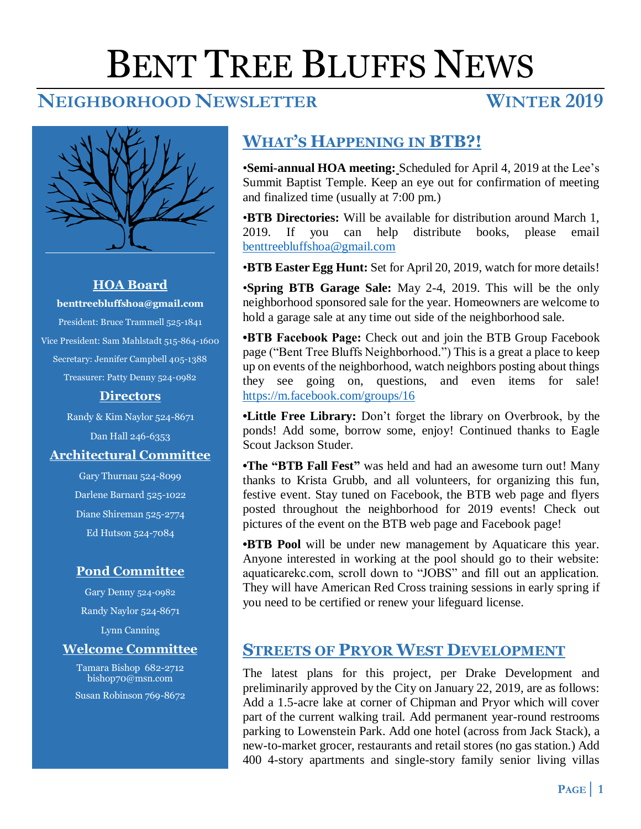# BENT TREE BLUFFS NEWS

# **NEIGHBORHOOD NEWSLETTER WINTER 2019**



#### **HOA Board**

**benttreebluffshoa@gmail.com** President: Bruce Trammell 525-1841 Vice President: Sam Mahlstadt 515-864-1600 Secretary: Jennifer Campbell 405-1388 Treasurer: Patty Denny 524-0982

#### **Directors**

Randy & Kim Naylor 524-8671 Dan Hall 246-6353 **Architectural Committee**

> Gary Thurnau 524-8099 Darlene Barnard 525-1022 Diane Shireman 525-2774 Ed Hutson 524-7084

# **Pond Committee**

Gary Denny 524-0982 Randy Naylor 524-8671 Lynn Canning

# **Welcome Committee**

Tamara Bishop 682-2712 bishop70@msn.com Susan Robinson 769-8672

# **WHAT'S HAPPENING IN BTB?!**

•**Semi-annual HOA meeting:** Scheduled for April 4, 2019 at the Lee's Summit Baptist Temple. Keep an eye out for confirmation of meeting and finalized time (usually at 7:00 pm.)

•**BTB Directories:** Will be available for distribution around March 1, 2019. If you can help distribute books, please email [benttreebluffshoa@gmail.com](mailto:benttreebluffshoa@gmail.com)

•**BTB Easter Egg Hunt:** Set for April 20, 2019, watch for more details!

•**Spring BTB Garage Sale:** May 2-4, 2019. This will be the only neighborhood sponsored sale for the year. Homeowners are welcome to hold a garage sale at any time out side of the neighborhood sale.

**•BTB Facebook Page:** Check out and join the BTB Group Facebook page ("Bent Tree Bluffs Neighborhood.") This is a great a place to keep up on events of the neighborhood, watch neighbors posting about things they see going on, questions, and even items for sale! <https://m.facebook.com/groups/16>

**•Little Free Library:** Don't forget the library on Overbrook, by the ponds! Add some, borrow some, enjoy! Continued thanks to Eagle Scout Jackson Studer.

**•The "BTB Fall Fest"** was held and had an awesome turn out! Many thanks to Krista Grubb, and all volunteers, for organizing this fun, festive event. Stay tuned on Facebook, the BTB web page and flyers posted throughout the neighborhood for 2019 events! Check out pictures of the event on the BTB web page and Facebook page!

**•BTB Pool** will be under new management by Aquaticare this year. Anyone interested in working at the pool should go to their website: aquaticarekc.com, scroll down to "JOBS" and fill out an application. They will have American Red Cross training sessions in early spring if you need to be certified or renew your lifeguard license.

# **STREETS OF PRYOR WEST DEVELOPMENT**

The latest plans for this project, per Drake Development and preliminarily approved by the City on January 22, 2019, are as follows: Add a 1.5-acre lake at corner of Chipman and Pryor which will cover part of the current walking trail. Add permanent year-round restrooms parking to Lowenstein Park. Add one hotel (across from Jack Stack), a new-to-market grocer, restaurants and retail stores (no gas station.) Add 400 4-story apartments and single-story family senior living villas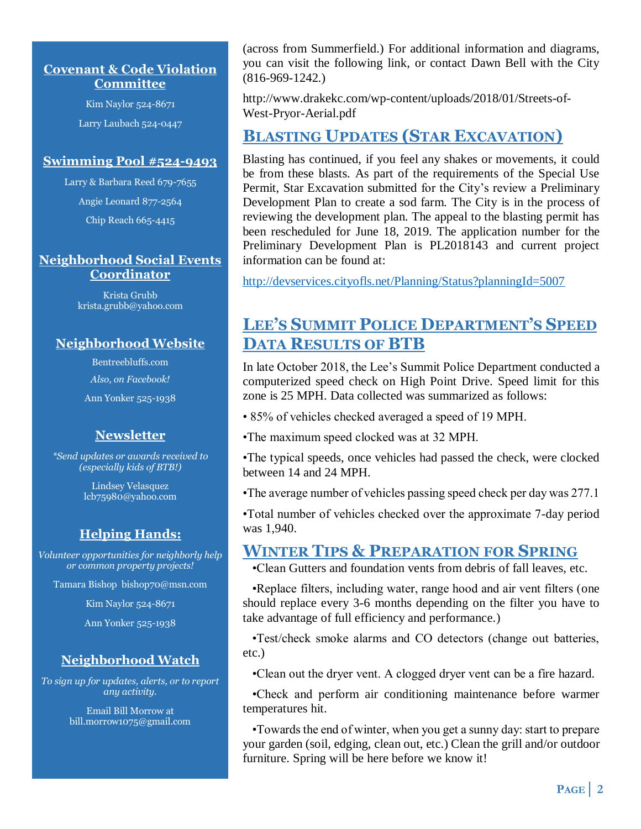#### **Covenant & Code Violation Committee**

Kim Naylor 524-8671 Larry Laubach 524-0447

#### **Swimming Pool #524-9493**

Larry & Barbara Reed 679-7655

Angie Leonard 877-2564

Chip Reach 665-4415

#### **Neighborhood Social Events Coordinator**

Krista Grubb krista.grubb@yahoo.com

### **Neighborhood Website**

Bentreebluffs.com

*Also, on Facebook!*

Ann Yonker 525-1938

# **Newsletter**

*\*Send updates or awards received to (especially kids of BTB!)*

> Lindsey Velasquez lcb75980@yahoo.com

# **Helping Hands:**

*Volunteer opportunities for neighborly help or common property projects!*

Tamara Bishop bishop70@msn.com

Kim Naylor 524-8671

Ann Yonker 525-1938

# **Neighborhood Watch**

*To sign up for updates, alerts, or to report any activity.*

> Email Bill Morrow at bill.morrow1075@gmail.com

(across from Summerfield.) For additional information and diagrams, you can visit the following link, or contact Dawn Bell with the City (816-969-1242.)

http://www.drakekc.com/wp-content/uploads/2018/01/Streets-of-West-Pryor-Aerial.pdf

# **BLASTING UPDATES (STAR EXCAVATION)**

Blasting has continued, if you feel any shakes or movements, it could be from these blasts. As part of the requirements of the Special Use Permit, Star Excavation submitted for the City's review a Preliminary Development Plan to create a sod farm. The City is in the process of reviewing the development plan. The appeal to the blasting permit has been rescheduled for June 18, 2019. The application number for the Preliminary Development Plan is PL2018143 and current project information can be found at:

<http://devservices.cityofls.net/Planning/Status?planningId=5007>

# **LEE'S SUMMIT POLICE DEPARTMENT'S SPEED DATA RESULTS OF BTB**

In late October 2018, the Lee's Summit Police Department conducted a computerized speed check on High Point Drive. Speed limit for this zone is 25 MPH. Data collected was summarized as follows:

- 85% of vehicles checked averaged a speed of 19 MPH.
- •The maximum speed clocked was at 32 MPH.
- •The typical speeds, once vehicles had passed the check, were clocked between 14 and 24 MPH.
- •The average number of vehicles passing speed check per day was 277.1

•Total number of vehicles checked over the approximate 7-day period was 1,940.

# **WINTER TIPS & PREPARATION FOR SPRING**

•Clean Gutters and foundation vents from debris of fall leaves, etc.

 •Replace filters, including water, range hood and air vent filters (one should replace every 3-6 months depending on the filter you have to take advantage of full efficiency and performance.)

 •Test/check smoke alarms and CO detectors (change out batteries, etc.)

•Clean out the dryer vent. A clogged dryer vent can be a fire hazard.

 •Check and perform air conditioning maintenance before warmer temperatures hit.

 •Towards the end of winter, when you get a sunny day: start to prepare your garden (soil, edging, clean out, etc.) Clean the grill and/or outdoor furniture. Spring will be here before we know it!